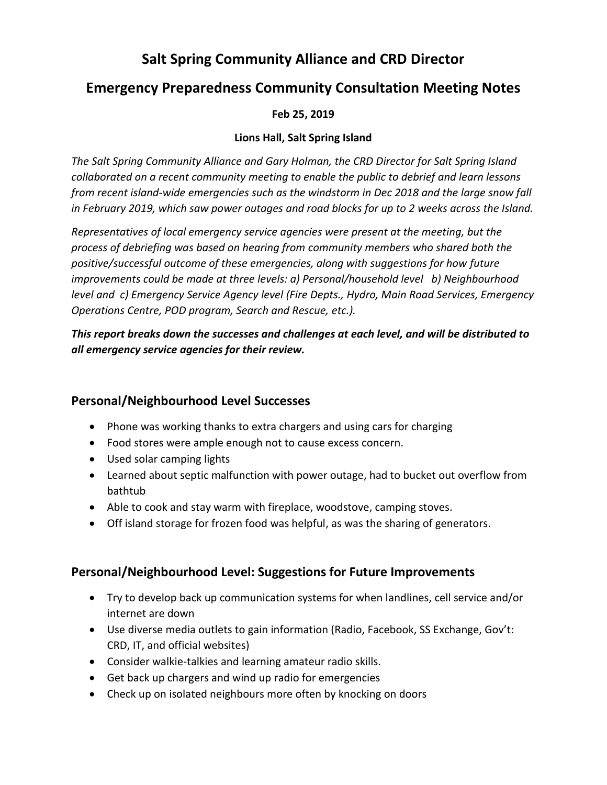# **Salt Spring Community Alliance and CRD Director**

# **Emergency Preparedness Community Consultation Meeting Notes**

### **Feb 25, 2019**

#### **Lions Hall, Salt Spring Island**

*The Salt Spring Community Alliance and Gary Holman, the CRD Director for Salt Spring Island collaborated on a recent community meeting to enable the public to debrief and learn lessons from recent island-wide emergencies such as the windstorm in Dec 2018 and the large snow fall in February 2019, which saw power outages and road blocks for up to 2 weeks across the Island.*

*Representatives of local emergency service agencies were present at the meeting, but the process of debriefing was based on hearing from community members who shared both the positive/successful outcome of these emergencies, along with suggestions for how future improvements could be made at three levels: a) Personal/household level b) Neighbourhood level and c) Emergency Service Agency level (Fire Depts., Hydro, Main Road Services, Emergency Operations Centre, POD program, Search and Rescue, etc.).*

*This report breaks down the successes and challenges at each level, and will be distributed to all emergency service agencies for their review.* 

# **Personal/Neighbourhood Level Successes**

- Phone was working thanks to extra chargers and using cars for charging
- Food stores were ample enough not to cause excess concern.
- Used solar camping lights
- Learned about septic malfunction with power outage, had to bucket out overflow from bathtub
- Able to cook and stay warm with fireplace, woodstove, camping stoves.
- Off island storage for frozen food was helpful, as was the sharing of generators.

### **Personal/Neighbourhood Level: Suggestions for Future Improvements**

- Try to develop back up communication systems for when landlines, cell service and/or internet are down
- Use diverse media outlets to gain information (Radio, Facebook, SS Exchange, Gov't: CRD, IT, and official websites)
- Consider walkie-talkies and learning amateur radio skills.
- Get back up chargers and wind up radio for emergencies
- Check up on isolated neighbours more often by knocking on doors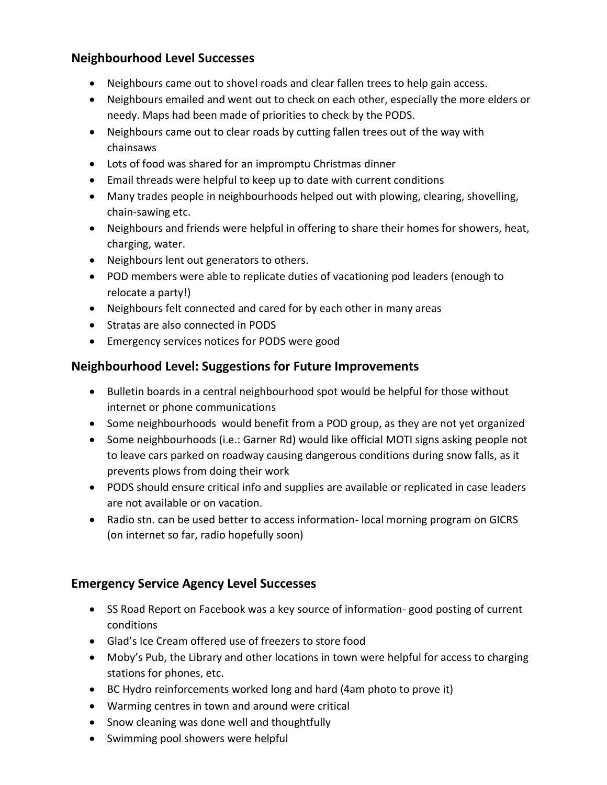# **Neighbourhood Level Successes**

- Neighbours came out to shovel roads and clear fallen trees to help gain access.
- Neighbours emailed and went out to check on each other, especially the more elders or needy. Maps had been made of priorities to check by the PODS.
- Neighbours came out to clear roads by cutting fallen trees out of the way with chainsaws
- Lots of food was shared for an impromptu Christmas dinner
- Email threads were helpful to keep up to date with current conditions
- Many trades people in neighbourhoods helped out with plowing, clearing, shovelling, chain-sawing etc.
- Neighbours and friends were helpful in offering to share their homes for showers, heat, charging, water.
- Neighbours lent out generators to others.
- POD members were able to replicate duties of vacationing pod leaders (enough to relocate a party!)
- Neighbours felt connected and cared for by each other in many areas
- Stratas are also connected in PODS
- Emergency services notices for PODS were good

### **Neighbourhood Level: Suggestions for Future Improvements**

- Bulletin boards in a central neighbourhood spot would be helpful for those without internet or phone communications
- Some neighbourhoods would benefit from a POD group, as they are not yet organized
- Some neighbourhoods (i.e.: Garner Rd) would like official MOTI signs asking people not to leave cars parked on roadway causing dangerous conditions during snow falls, as it prevents plows from doing their work
- PODS should ensure critical info and supplies are available or replicated in case leaders are not available or on vacation.
- Radio stn. can be used better to access information-local morning program on GICRS (on internet so far, radio hopefully soon)

# **Emergency Service Agency Level Successes**

- SS Road Report on Facebook was a key source of information- good posting of current conditions
- Glad's Ice Cream offered use of freezers to store food
- Moby's Pub, the Library and other locations in town were helpful for access to charging stations for phones, etc.
- BC Hydro reinforcements worked long and hard (4am photo to prove it)
- Warming centres in town and around were critical
- Snow cleaning was done well and thoughtfully
- Swimming pool showers were helpful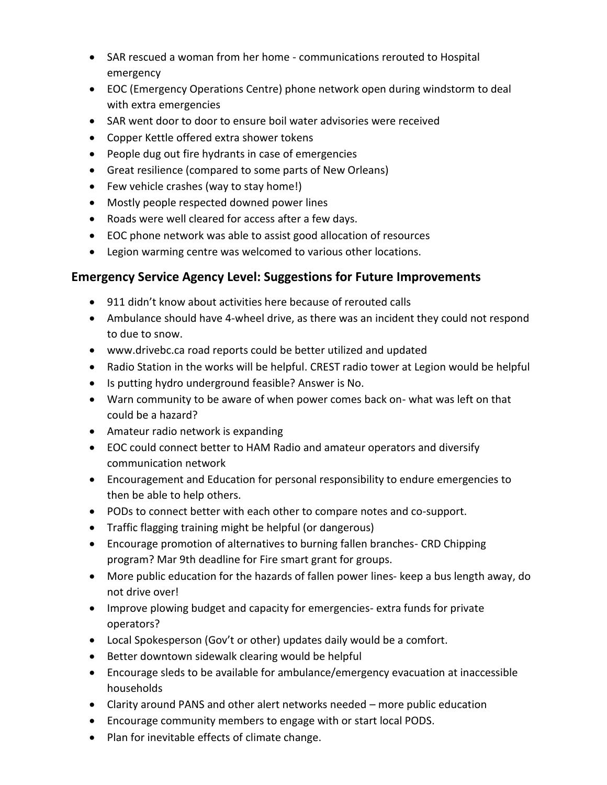- SAR rescued a woman from her home communications rerouted to Hospital emergency
- EOC (Emergency Operations Centre) phone network open during windstorm to deal with extra emergencies
- SAR went door to door to ensure boil water advisories were received
- Copper Kettle offered extra shower tokens
- People dug out fire hydrants in case of emergencies
- Great resilience (compared to some parts of New Orleans)
- Few vehicle crashes (way to stay home!)
- Mostly people respected downed power lines
- Roads were well cleared for access after a few days.
- EOC phone network was able to assist good allocation of resources
- Legion warming centre was welcomed to various other locations.

### **Emergency Service Agency Level: Suggestions for Future Improvements**

- 911 didn't know about activities here because of rerouted calls
- Ambulance should have 4-wheel drive, as there was an incident they could not respond to due to snow.
- www.drivebc.ca road reports could be better utilized and updated
- Radio Station in the works will be helpful. CREST radio tower at Legion would be helpful
- Is putting hydro underground feasible? Answer is No.
- Warn community to be aware of when power comes back on- what was left on that could be a hazard?
- Amateur radio network is expanding
- EOC could connect better to HAM Radio and amateur operators and diversify communication network
- Encouragement and Education for personal responsibility to endure emergencies to then be able to help others.
- PODs to connect better with each other to compare notes and co-support.
- Traffic flagging training might be helpful (or dangerous)
- Encourage promotion of alternatives to burning fallen branches- CRD Chipping program? Mar 9th deadline for Fire smart grant for groups.
- More public education for the hazards of fallen power lines- keep a bus length away, do not drive over!
- Improve plowing budget and capacity for emergencies- extra funds for private operators?
- Local Spokesperson (Gov't or other) updates daily would be a comfort.
- Better downtown sidewalk clearing would be helpful
- Encourage sleds to be available for ambulance/emergency evacuation at inaccessible households
- Clarity around PANS and other alert networks needed more public education
- Encourage community members to engage with or start local PODS.
- Plan for inevitable effects of climate change.